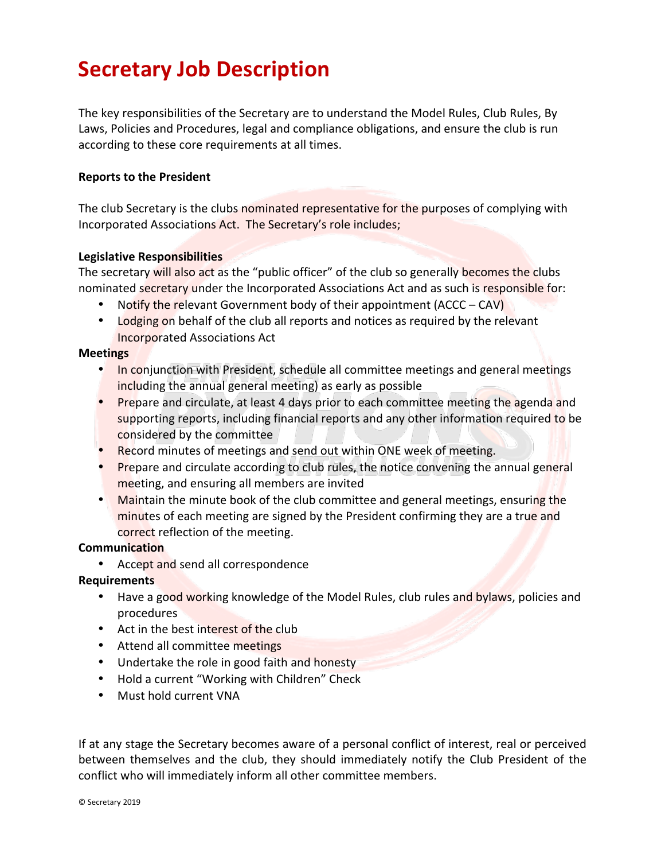# **Secretary Job Description**

The key responsibilities of the Secretary are to understand the Model Rules, Club Rules, By Laws, Policies and Procedures, legal and compliance obligations, and ensure the club is run according to these core requirements at all times.

# **Reports to the President**

The club Secretary is the clubs nominated representative for the purposes of complying with Incorporated Associations Act. The Secretary's role includes;

### **Legislative Responsibilities**

The secretary will also act as the "public officer" of the club so generally becomes the clubs nominated secretary under the Incorporated Associations Act and as such is responsible for:

- Notify the relevant Government body of their appointment  $(ACC-CAV)$
- Lodging on behalf of the club all reports and notices as required by the relevant Incorporated Associations Act

### **Meetings**

- In conjunction with President, schedule all committee meetings and general meetings including the annual general meeting) as early as possible
- Prepare and circulate, at least 4 days prior to each committee meeting the agenda and supporting reports, including financial reports and any other information required to be considered by the committee
- Record minutes of meetings and send out within ONE week of meeting.
- Prepare and circulate according to club rules, the notice convening the annual general meeting, and ensuring all members are invited
- Maintain the minute book of the club committee and general meetings, ensuring the minutes of each meeting are signed by the President confirming they are a true and correct reflection of the meeting.

# **Communication**

• Accept and send all correspondence

# **Requirements**

- Have a good working knowledge of the Model Rules, club rules and bylaws, policies and procedures
- Act in the best interest of the club
- Attend all committee meetings
- Undertake the role in good faith and honesty
- Hold a current "Working with Children" Check
- Must hold current VNA

If at any stage the Secretary becomes aware of a personal conflict of interest, real or perceived between themselves and the club, they should immediately notify the Club President of the conflict who will immediately inform all other committee members.